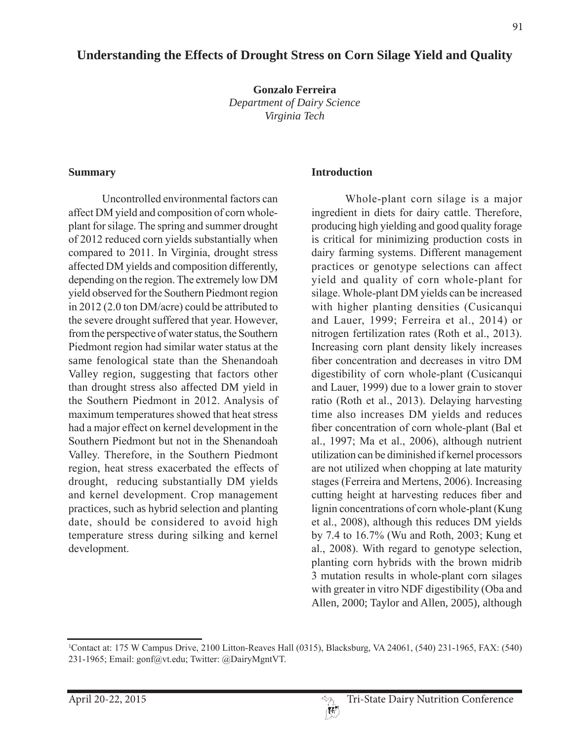# **Understanding the Effects of Drought Stress on Corn Silage Yield and Quality**

**Gonzalo Ferreira**  *Department of Dairy Science Virginia Tech*

#### **Summary**

Uncontrolled environmental factors can affect DM yield and composition of corn wholeplant for silage. The spring and summer drought of 2012 reduced corn yields substantially when compared to 2011. In Virginia, drought stress affected DM yields and composition differently, depending on the region. The extremely low DM yield observed for the Southern Piedmont region in  $2012(2.0 \text{ ton } DM/ \text{acre})$  could be attributed to the severe drought suffered that year. However, from the perspective of water status, the Southern Piedmont region had similar water status at the same fenological state than the Shenandoah Valley region, suggesting that factors other than drought stress also affected DM yield in the Southern Piedmont in 2012. Analysis of maximum temperatures showed that heat stress had a major effect on kernel development in the Southern Piedmont but not in the Shenandoah Valley. Therefore, in the Southern Piedmont region, heat stress exacerbated the effects of drought, reducing substantially DM yields and kernel development. Crop management practices, such as hybrid selection and planting date, should be considered to avoid high temperature stress during silking and kernel development.

#### **Introduction**

Whole-plant corn silage is a major ingredient in diets for dairy cattle. Therefore, producing high yielding and good quality forage is critical for minimizing production costs in dairy farming systems. Different management practices or genotype selections can affect yield and quality of corn whole-plant for silage. Whole-plant DM yields can be increased with higher planting densities (Cusicanqui and Lauer, 1999; Ferreira et al., 2014) or nitrogen fertilization rates (Roth et al., 2013). Increasing corn plant density likely increases fiber concentration and decreases in vitro DM digestibility of corn whole-plant (Cusicangui and Lauer, 1999) due to a lower grain to stover ratio (Roth et al., 2013). Delaying harvesting time also increases DM yields and reduces fiber concentration of corn whole-plant (Bal et al., 1997; Ma et al., 2006), although nutrient utilization can be diminished if kernel processors are not utilized when chopping at late maturity stages (Ferreira and Mertens, 2006). Increasing cutting height at harvesting reduces fiber and lignin concentrations of corn whole-plant (Kung et al., 2008), although this reduces DM yields by 7.4 to  $16.7\%$  (Wu and Roth, 2003; Kung et al., 2008). With regard to genotype selection, planting corn hybrids with the brown midrib 3 mutation results in whole-plant corn silages with greater in vitro NDF digestibility (Oba and Allen, 2000; Taylor and Allen, 2005), although



<sup>&</sup>lt;sup>1</sup>Contact at: 175 W Campus Drive, 2100 Litton-Reaves Hall (0315), Blacksburg, VA 24061, (540) 231-1965, FAX: (540) 231-1965; Email: gonf@vt.edu; Twitter: @DairyMgntVT.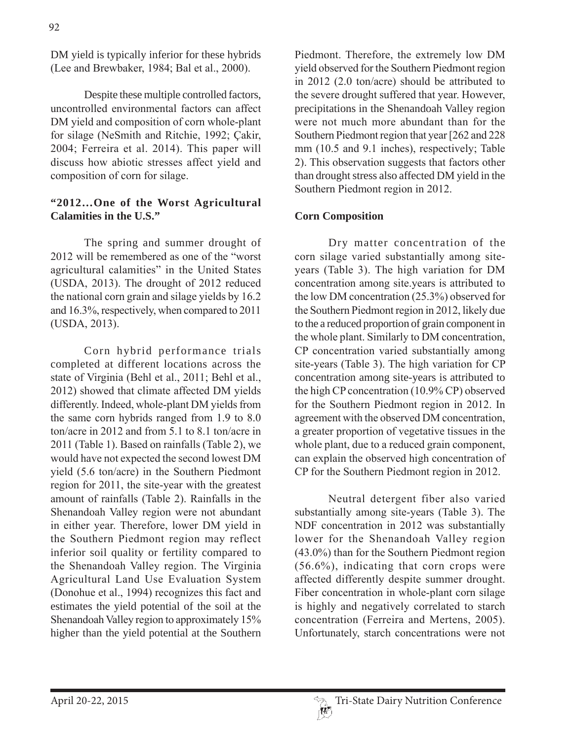DM yield is typically inferior for these hybrids (Lee and Brewbaker, 1984; Bal et al., 2000).

Despite these multiple controlled factors, uncontrolled environmental factors can affect DM yield and composition of corn whole-plant for silage (NeSmith and Ritchie, 1992; Cakir, 2004; Ferreira et al. 2014). This paper will discuss how abiotic stresses affect yield and composition of corn for silage.

# **"2012…One of the Worst Agricultural Calamities in the U.S."**

The spring and summer drought of 2012 will be remembered as one of the "worst" agricultural calamities" in the United States (USDA, 2013). The drought of  $2012$  reduced the national corn grain and silage yields by  $16.2$ and  $16.3\%$ , respectively, when compared to  $2011$ (USDA, 2013).

Corn hybrid performance trials completed at different locations across the state of Virginia (Behl et al., 2011; Behl et al., 2012) showed that climate affected DM yields differently. Indeed, whole-plant DM yields from the same corn hybrids ranged from  $1.9$  to  $8.0$ ton/acre in 2012 and from 5.1 to 8.1 ton/acre in 2011 (Table 1). Based on rainfalls (Table 2), we would have not expected the second lowest DM yield  $(5.6 \text{ ton/acre})$  in the Southern Piedmont region for 2011, the site-year with the greatest amount of rainfalls (Table 2). Rainfalls in the Shenandoah Valley region were not abundant in either year. Therefore, lower DM yield in the Southern Piedmont region may reflect inferior soil quality or fertility compared to the Shenandoah Valley region. The Virginia Agricultural Land Use Evaluation System (Donohue et al., 1994) recognizes this fact and estimates the yield potential of the soil at the Shenandoah Valley region to approximately 15% higher than the yield potential at the Southern

Piedmont. Therefore, the extremely low DM vield observed for the Southern Piedmont region in  $2012$  (2.0 ton/acre) should be attributed to the severe drought suffered that year. However, precipitations in the Shenandoah Valley region were not much more abundant than for the Southern Piedmont region that year [262 and 228] mm (10.5 and 9.1 inches), respectively; Table 2). This observation suggests that factors other than drought stress also affected DM yield in the Southern Piedmont region in 2012.

# **Corn Composition**

Dry matter concentration of the corn silage varied substantially among siteyears (Table 3). The high variation for DM concentration among site years is attributed to the low DM concentration  $(25.3\%)$  observed for the Southern Piedmont region in 2012, likely due to the a reduced proportion of grain component in the whole plant. Similarly to DM concentration, CP concentration varied substantially among site-years (Table 3). The high variation for CP concentration among site-years is attributed to the high CP concentration  $(10.9\%$  CP) observed for the Southern Piedmont region in 2012. In agreement with the observed DM concentration, a greater proportion of vegetative tissues in the whole plant, due to a reduced grain component, can explain the observed high concentration of CP for the Southern Piedmont region in 2012.

Neutral detergent fiber also varied substantially among site-years (Table 3). The NDF concentration in 2012 was substantially lower for the Shenandoah Valley region  $(43.0\%)$  than for the Southern Piedmont region  $(56.6\%)$ , indicating that corn crops were affected differently despite summer drought. Fiber concentration in whole-plant corn silage is highly and negatively correlated to starch concentration (Ferreira and Mertens, 2005). Unfortunately, starch concentrations were not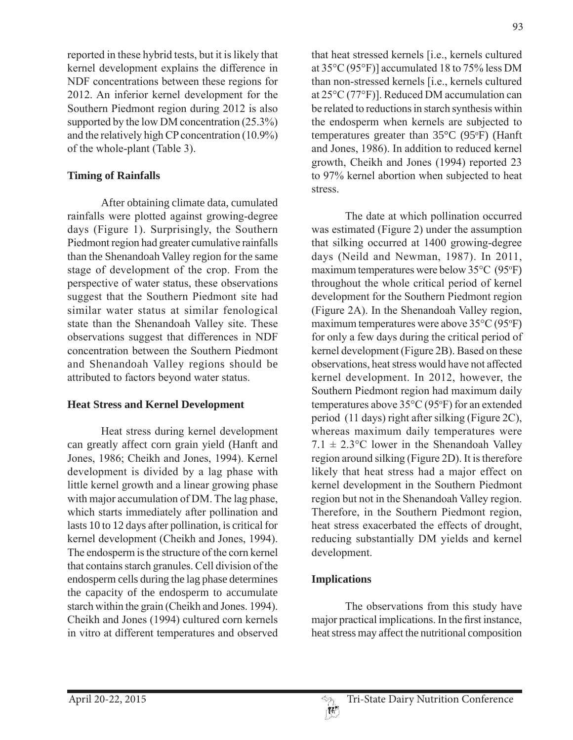reported in these hybrid tests, but it is likely that kernel development explains the difference in NDF concentrations between these regions for 2012. An inferior kernel development for the Southern Piedmont region during 2012 is also supported by the low DM concentration  $(25.3\%)$ and the relatively high CP concentration  $(10.9\%)$ of the whole-plant (Table 3).

### **Timing of Rainfalls**

After obtaining climate data, cumulated rainfalls were plotted against growing-degree days (Figure 1). Surprisingly, the Southern Piedmont region had greater cumulative rainfalls than the Shenandoah Valley region for the same stage of development of the crop. From the perspective of water status, these observations suggest that the Southern Piedmont site had similar water status at similar fenological state than the Shenandoah Valley site. These observations suggest that differences in NDF concentration between the Southern Piedmont and Shenandoah Valley regions should be attributed to factors beyond water status.

### **Heat Stress and Kernel Development**

Heat stress during kernel development can greatly affect corn grain yield (Hanft and Jones, 1986; Cheikh and Jones, 1994). Kernel development is divided by a lag phase with little kernel growth and a linear growing phase with major accumulation of DM. The lag phase, which starts immediately after pollination and lasts 10 to 12 days after pollination, is critical for kernel development (Cheikh and Jones, 1994). The endosperm is the structure of the corn kernel that contains starch granules. Cell division of the endosperm cells during the lag phase determines the capacity of the endosperm to accumulate starch within the grain (Cheikh and Jones. 1994). Cheikh and Jones (1994) cultured corn kernels in vitro at different temperatures and observed

that heat stressed kernels [i.e., kernels cultured] at  $35^{\circ}$ C (95 $^{\circ}$ F)] accumulated 18 to 75% less DM than non-stressed kernels [i.e., kernels cultured at  $25^{\circ}$ C (77 $^{\circ}$ F)]. Reduced DM accumulation can be related to reductions in starch synthesis within the endosperm when kernels are subjected to temperatures greater than  $35^{\circ}$ C (95°F) (Hanft and Jones, 1986). In addition to reduced kernel growth, Cheikh and Jones (1994) reported 23 to 97% kernel abortion when subjected to heat stress.

The date at which pollination occurred was estimated (Figure 2) under the assumption that silking occurred at 1400 growing-degree days (Neild and Newman, 1987). In 2011, maximum temperatures were below  $35^{\circ}$ C (95 $^{\circ}$ F) throughout the whole critical period of kernel development for the Southern Piedmont region  $(Figure 2A)$ . In the Shenandoah Valley region, maximum temperatures were above  $35^{\circ}C(95^{\circ}F)$ for only a few days during the critical period of kernel development (Figure 2B). Based on these observations, heat stress would have not affected kernel development. In 2012, however, the Southern Piedmont region had maximum daily temperatures above  $35^{\circ}$ C (95 $^{\circ}$ F) for an extended period  $(11$  days) right after silking (Figure 2C), whereas maximum daily temperatures were  $7.1 \pm 2.3$ °C lower in the Shenandoah Valley region around silking (Figure 2D). It is therefore likely that heat stress had a major effect on kernel development in the Southern Piedmont region but not in the Shenandoah Valley region. Therefore, in the Southern Piedmont region, heat stress exacerbated the effects of drought, reducing substantially DM yields and kernel development.

# **Implications**

The observations from this study have major practical implications. In the first instance, heat stress may affect the nutritional composition

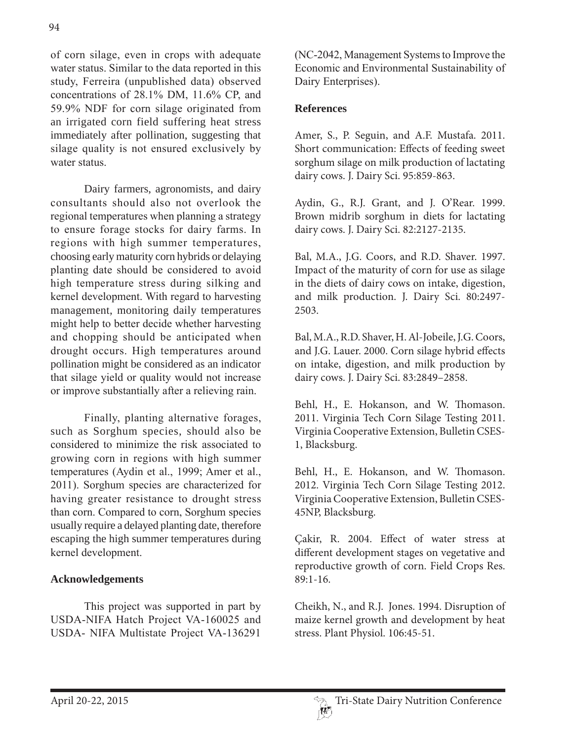of corn silage, even in crops with adequate water status. Similar to the data reported in this study, Ferreira (unpublished data) observed concentrations of  $28.1\%$  DM,  $11.6\%$  CP, and 59.9% NDF for corn silage originated from an irrigated corn field suffering heat stress immediately after pollination, suggesting that silage quality is not ensured exclusively by water status.

Dairy farmers, agronomists, and dairy consultants should also not overlook the regional temperatures when planning a strategy to ensure forage stocks for dairy farms. In regions with high summer temperatures, choosing early maturity corn hybrids or delaying planting date should be considered to avoid high temperature stress during silking and kernel development. With regard to harvesting management, monitoring daily temperatures might help to better decide whether harvesting and chopping should be anticipated when drought occurs. High temperatures around pollination might be considered as an indicator that silage yield or quality would not increase or improve substantially after a relieving rain.

Finally, planting alternative forages, such as Sorghum species, should also be considered to minimize the risk associated to growing corn in regions with high summer temperatures (Aydin et al., 1999; Amer et al., 2011). Sorghum species are characterized for having greater resistance to drought stress than corn. Compared to corn, Sorghum species usually require a delayed planting date, therefore escaping the high summer temperatures during kernel development.

# **Acknowledgements**

This project was supported in part by USDA-NIFA Hatch Project VA-160025 and USDA- NIFA Multistate Project VA-136291

(NC-2042, Management Systems to Improve the Economic and Environmental Sustainability of Dairy Enterprises).

# **References**

Amer, S., P. Seguin, and A.F. Mustafa. 2011. Short communication: Effects of feeding sweet sorghum silage on milk production of lactating dairy cows. J. Dairy Sci. 95:859-863.

Aydin, G., R.J. Grant, and J. O'Rear. 1999. Brown midrib sorghum in diets for lactating dairy cows. J. Dairy Sci. 82:2127-2135.

Bal, M.A., J.G. Coors, and R.D. Shaver. 1997. Impact of the maturity of corn for use as silage in the diets of dairy cows on intake, digestion, and milk production. J. Dairy Sci. 80:2497- 2503.

Bal, M.A., R.D. Shaver, H. Al-Jobeile, J.G. Coors, and J.G. Lauer. 2000. Corn silage hybrid effects on intake, digestion, and milk production by dairy cows. J. Dairy Sci. 83:2849–2858.

Behl, H., E. Hokanson, and W. Thomason. 2011. Virginia Tech Corn Silage Testing 2011. Virginia Cooperative Extension, Bulletin CSES-1, Blacksburg.

Behl, H., E. Hokanson, and W. Thomason. 2012. Virginia Tech Corn Silage Testing 2012. Virginia Cooperative Extension, Bulletin CSES-45NP, Blacksburg.

Çakir, R. 2004. Effect of water stress at different development stages on vegetative and reproductive growth of corn. Field Crops Res. 89:1-16.

Cheikh, N., and R.J. Jones. 1994. Disruption of maize kernel growth and development by heat stress. Plant Physiol. 106:45-51.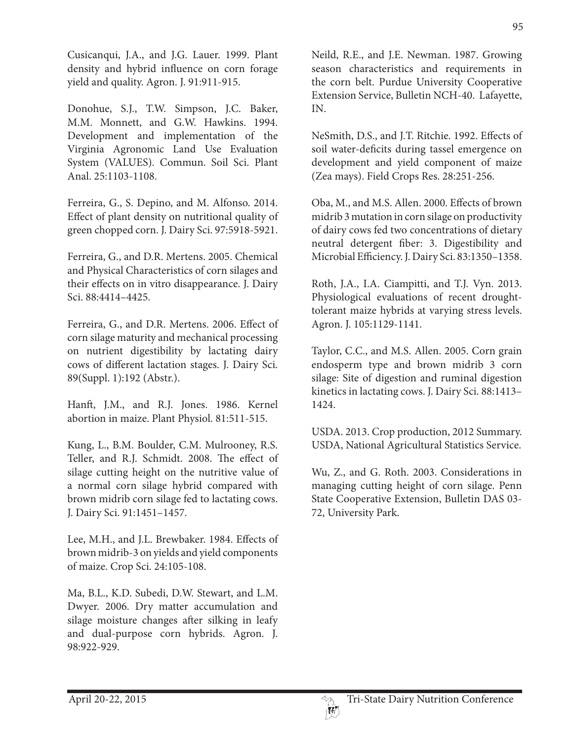Cusicanqui, J.A., and J.G. Lauer. 1999. Plant density and hybrid influence on corn forage yield and quality. Agron. J. 91:911-915.

Donohue, S.J., T.W. Simpson, J.C. Baker, M.M. Monnett, and G.W. Hawkins. 1994. Development and implementation of the Virginia Agronomic Land Use Evaluation System (VALUES). Commun. Soil Sci. Plant Anal. 25:1103-1108.

Ferreira, G., S. Depino, and M. Alfonso. 2014. Effect of plant density on nutritional quality of green chopped corn. J. Dairy Sci. 97:5918-5921.

Ferreira, G., and D.R. Mertens. 2005. Chemical and Physical Characteristics of corn silages and their effects on in vitro disappearance. J. Dairy Sci. 88:4414–4425.

Ferreira, G., and D.R. Mertens. 2006. Effect of corn silage maturity and mechanical processing on nutrient digestibility by lactating dairy cows of different lactation stages. J. Dairy Sci. 89(Suppl. 1):192 (Abstr.).

Hanft, J.M., and R.J. Jones. 1986. Kernel abortion in maize. Plant Physiol. 81:511-515.

Kung, L., B.M. Boulder, C.M. Mulrooney, R.S. Teller, and R.J. Schmidt. 2008. The effect of silage cutting height on the nutritive value of a normal corn silage hybrid compared with brown midrib corn silage fed to lactating cows. J. Dairy Sci. 91:1451–1457.

Lee, M.H., and J.L. Brewbaker. 1984. Effects of brown midrib-3 on yields and yield components of maize. Crop Sci. 24:105-108.

Ma, B.L., K.D. Subedi, D.W. Stewart, and L.M. Dwyer. 2006. Dry matter accumulation and silage moisture changes after silking in leafy and dual-purpose corn hybrids. Agron. J. 98:922-929.

Neild, R.E., and J.E. Newman. 1987. Growing season characteristics and requirements in the corn belt. Purdue University Cooperative Extension Service, Bulletin NCH-40. Lafayette, IN.

NeSmith, D.S., and J.T. Ritchie. 1992. Effects of soil water-deficits during tassel emergence on development and yield component of maize (Zea mays). Field Crops Res. 28:251-256.

Oba, M., and M.S. Allen. 2000. Effects of brown midrib 3 mutation in corn silage on productivity of dairy cows fed two concentrations of dietary neutral detergent fiber: 3. Digestibility and Microbial Efficiency. J. Dairy Sci. 83:1350–1358.

Roth, J.A., I.A. Ciampitti, and T.J. Vyn. 2013. Physiological evaluations of recent droughttolerant maize hybrids at varying stress levels. Agron. J. 105:1129-1141.

Taylor, C.C., and M.S. Allen. 2005. Corn grain endosperm type and brown midrib 3 corn silage: Site of digestion and ruminal digestion kinetics in lactating cows. J. Dairy Sci. 88:1413– 1424.

USDA. 2013. Crop production, 2012 Summary. USDA, National Agricultural Statistics Service.

Wu, Z., and G. Roth. 2003. Considerations in managing cutting height of corn silage. Penn State Cooperative Extension, Bulletin DAS 03- 72, University Park.

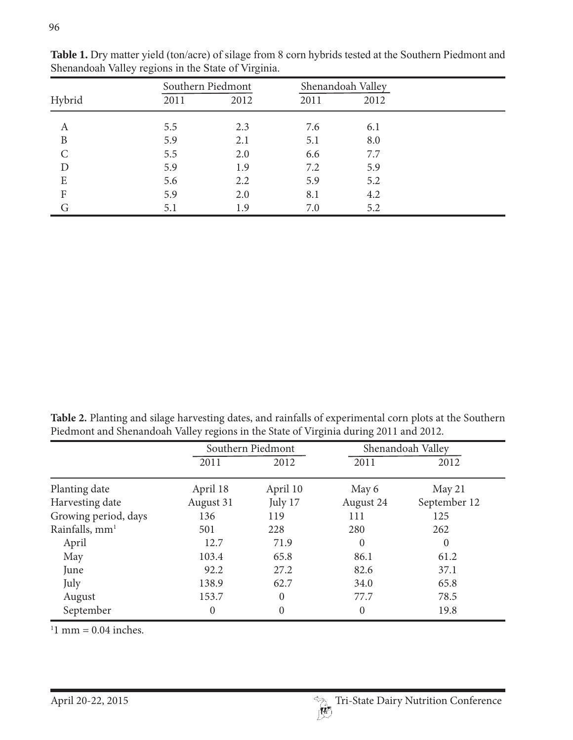|                    |      | Southern Piedmont |      | Shenandoah Valley |  |
|--------------------|------|-------------------|------|-------------------|--|
| Hybrid             | 2011 | 2012              | 2011 | 2012              |  |
| A                  | 5.5  | 2.3               | 7.6  | 6.1               |  |
| B                  | 5.9  | 2.1               | 5.1  | 8.0               |  |
| $\curvearrowright$ | 5.5  | 2.0               | 6.6  | 7.7               |  |
| D                  | 5.9  | 1.9               | 7.2  | 5.9               |  |
| E                  | 5.6  | 2.2               | 5.9  | 5.2               |  |
| F                  | 5.9  | 2.0               | 8.1  | 4.2               |  |
| G                  | 5.1  | 1.9               | 7.0  | 5.2               |  |

Table 1. Dry matter yield (ton/acre) of silage from 8 corn hybrids tested at the Southern Piedmont and Shenandoah Valley regions in the State of Virginia.

**Table 2.** Planting and silage harvesting dates, and rainfalls of experimental corn plots at the Southern Piedmont and Shenandoah Valley regions in the State of Virginia during 2011 and 2012.

|                            |                  | Southern Piedmont |           | Shenandoah Valley |  |
|----------------------------|------------------|-------------------|-----------|-------------------|--|
|                            | 2011             | 2012              | 2011      | 2012              |  |
| Planting date              | April 18         | April 10          | May 6     | May 21            |  |
| Harvesting date            | August 31        | July 17           | August 24 | September 12      |  |
| Growing period, days       | 136              | 119               | 111       | 125               |  |
| Rainfalls, mm <sup>1</sup> | 501              | 228               | 280       | 262               |  |
| April                      | 12.7             | 71.9              | $\Omega$  | $\theta$          |  |
| May                        | 103.4            | 65.8              | 86.1      | 61.2              |  |
| June                       | 92.2             | 27.2              | 82.6      | 37.1              |  |
| July                       | 138.9            | 62.7              | 34.0      | 65.8              |  |
| August                     | 153.7            | $\theta$          | 77.7      | 78.5              |  |
| September                  | $\boldsymbol{0}$ | $\overline{0}$    | $\theta$  | 19.8              |  |

 $11$  mm = 0.04 inches.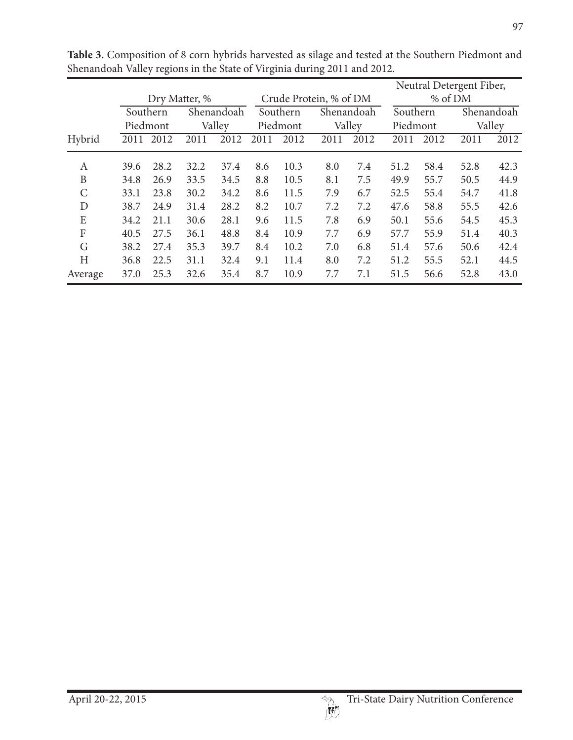|               |      |               |                                      |        |                        |      |          |          | Neutral Detergent Fiber, |        |      |      |
|---------------|------|---------------|--------------------------------------|--------|------------------------|------|----------|----------|--------------------------|--------|------|------|
|               |      | Dry Matter, % |                                      |        | Crude Protein, % of DM |      |          |          | % of DM                  |        |      |      |
|               |      | Southern      | Shenandoah<br>Southern<br>Shenandoah |        |                        |      | Southern |          | Shenandoah               |        |      |      |
|               |      | Piedmont      |                                      | Valley | Valley<br>Piedmont     |      |          | Piedmont |                          | Valley |      |      |
| Hybrid        | 2011 | 2012          | 2011                                 | 2012   | 2011                   | 2012 | 2011     | 2012     | 2011                     | 2012   | 2011 | 2012 |
| A             | 39.6 | 28.2          | 32.2                                 | 37.4   | 8.6                    | 10.3 | 8.0      | 7.4      | 51.2                     | 58.4   | 52.8 | 42.3 |
| B             | 34.8 | 26.9          | 33.5                                 | 34.5   | 8.8                    | 10.5 | 8.1      | 7.5      | 49.9                     | 55.7   | 50.5 | 44.9 |
| $\mathcal{C}$ | 33.1 | 23.8          | 30.2                                 | 34.2   | 8.6                    | 11.5 | 7.9      | 6.7      | 52.5                     | 55.4   | 54.7 | 41.8 |
| D             | 38.7 | 24.9          | 31.4                                 | 28.2   | 8.2                    | 10.7 | 7.2      | 7.2      | 47.6                     | 58.8   | 55.5 | 42.6 |
| E             | 34.2 | 21.1          | 30.6                                 | 28.1   | 9.6                    | 11.5 | 7.8      | 6.9      | 50.1                     | 55.6   | 54.5 | 45.3 |
| F             | 40.5 | 27.5          | 36.1                                 | 48.8   | 8.4                    | 10.9 | 7.7      | 6.9      | 57.7                     | 55.9   | 51.4 | 40.3 |
| G             | 38.2 | 27.4          | 35.3                                 | 39.7   | 8.4                    | 10.2 | 7.0      | 6.8      | 51.4                     | 57.6   | 50.6 | 42.4 |
| H             | 36.8 | 22.5          | 31.1                                 | 32.4   | 9.1                    | 11.4 | 8.0      | 7.2      | 51.2                     | 55.5   | 52.1 | 44.5 |
| Average       | 37.0 | 25.3          | 32.6                                 | 35.4   | 8.7                    | 10.9 | 7.7      | 7.1      | 51.5                     | 56.6   | 52.8 | 43.0 |

**Table 3.** Composition of 8 corn hybrids harvested as silage and tested at the Southern Piedmont and Shenandoah Valley regions in the State of Virginia during 2011 and 2012.

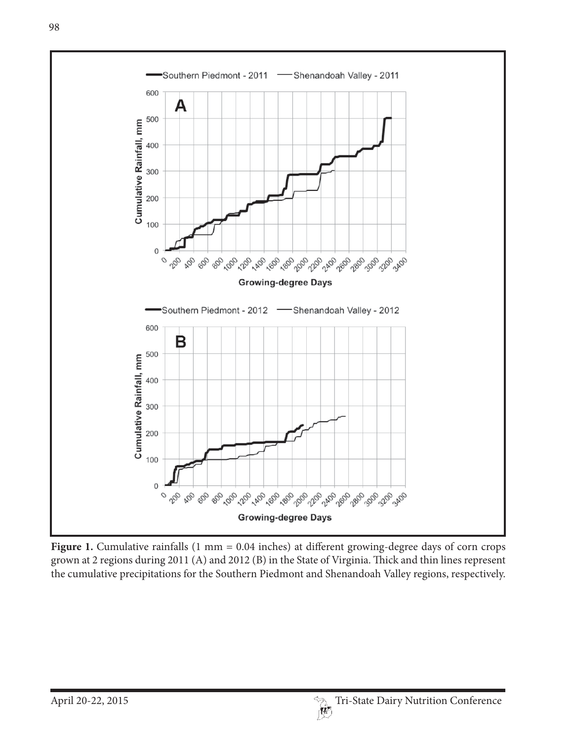

Figure 1. Cumulative rainfalls (1 mm = 0.04 inches) at different growing-degree days of corn crops grown at 2 regions during 2011 (A) and 2012 (B) in the State of Virginia. Thick and thin lines represent the cumulative precipitations for the Southern Piedmont and Shenandoah Valley regions, respectively.